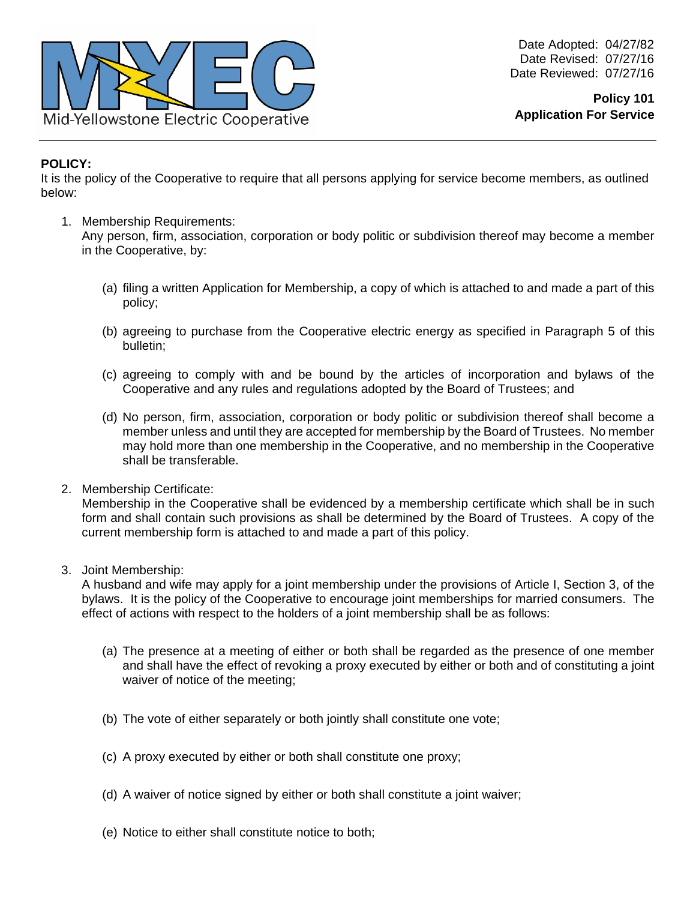

## **POLICY:**

It is the policy of the Cooperative to require that all persons applying for service become members, as outlined below:

1. Membership Requirements:

Any person, firm, association, corporation or body politic or subdivision thereof may become a member in the Cooperative, by:

- (a) filing a written Application for Membership, a copy of which is attached to and made a part of this policy;
- (b) agreeing to purchase from the Cooperative electric energy as specified in Paragraph 5 of this bulletin;
- (c) agreeing to comply with and be bound by the articles of incorporation and bylaws of the Cooperative and any rules and regulations adopted by the Board of Trustees; and
- (d) No person, firm, association, corporation or body politic or subdivision thereof shall become a member unless and until they are accepted for membership by the Board of Trustees. No member may hold more than one membership in the Cooperative, and no membership in the Cooperative shall be transferable.
- 2. Membership Certificate:

Membership in the Cooperative shall be evidenced by a membership certificate which shall be in such form and shall contain such provisions as shall be determined by the Board of Trustees. A copy of the current membership form is attached to and made a part of this policy.

3. Joint Membership:

A husband and wife may apply for a joint membership under the provisions of Article I, Section 3, of the bylaws. It is the policy of the Cooperative to encourage joint memberships for married consumers. The effect of actions with respect to the holders of a joint membership shall be as follows:

- (a) The presence at a meeting of either or both shall be regarded as the presence of one member and shall have the effect of revoking a proxy executed by either or both and of constituting a joint waiver of notice of the meeting;
- (b) The vote of either separately or both jointly shall constitute one vote;
- (c) A proxy executed by either or both shall constitute one proxy;
- (d) A waiver of notice signed by either or both shall constitute a joint waiver;
- (e) Notice to either shall constitute notice to both;